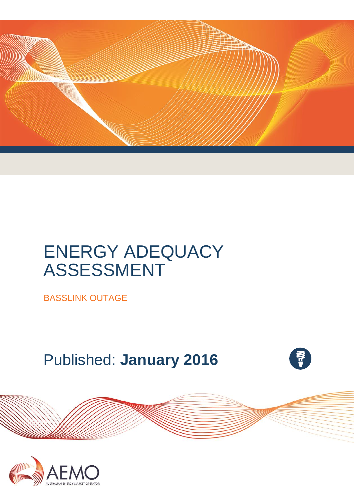

# ENERGY ADEQUACY ASSESSMENT

BASSLINK OUTAGE

Published: **January 2016**



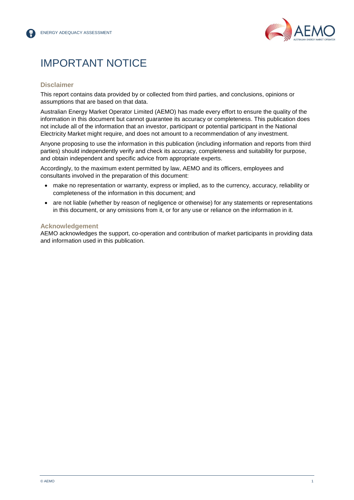

### IMPORTANT NOTICE

#### **Disclaimer**

This report contains data provided by or collected from third parties, and conclusions, opinions or assumptions that are based on that data.

Australian Energy Market Operator Limited (AEMO) has made every effort to ensure the quality of the information in this document but cannot guarantee its accuracy or completeness. This publication does not include all of the information that an investor, participant or potential participant in the National Electricity Market might require, and does not amount to a recommendation of any investment.

Anyone proposing to use the information in this publication (including information and reports from third parties) should independently verify and check its accuracy, completeness and suitability for purpose, and obtain independent and specific advice from appropriate experts.

Accordingly, to the maximum extent permitted by law, AEMO and its officers, employees and consultants involved in the preparation of this document:

- make no representation or warranty, express or implied, as to the currency, accuracy, reliability or completeness of the information in this document; and
- are not liable (whether by reason of negligence or otherwise) for any statements or representations in this document, or any omissions from it, or for any use or reliance on the information in it.

#### **Acknowledgement**

AEMO acknowledges the support, co-operation and contribution of market participants in providing data and information used in this publication.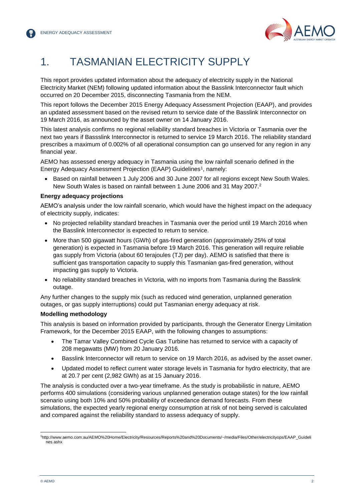

### 1. TASMANIAN ELECTRICITY SUPPLY

This report provides updated information about the adequacy of electricity supply in the National Electricity Market (NEM) following updated information about the Basslink Interconnector fault which occurred on 20 December 2015, disconnecting Tasmania from the NEM.

This report follows the December 2015 Energy Adequacy Assessment Projection (EAAP), and provides an updated assessment based on the revised return to service date of the Basslink Interconnector on 19 March 2016, as announced by the asset owner on 14 January 2016.

This latest analysis confirms no regional reliability standard breaches in Victoria or Tasmania over the next two years if Bassslink Interconnector is returned to service 19 March 2016. The reliability standard prescribes a maximum of 0.002% of all operational consumption can go unserved for any region in any financial year.

AEMO has assessed energy adequacy in Tasmania using the low rainfall scenario defined in the Energy Adequacy Assessment Projection (EAAP) Guidelines<sup>1</sup>, namely:

 Based on rainfall between 1 July 2006 and 30 June 2007 for all regions except New South Wales. New South Wales is based on rainfall between 1 June 2006 and 31 May 2007.<sup>2</sup>

#### **Energy adequacy projections**

AEMO's analysis under the low rainfall scenario, which would have the highest impact on the adequacy of electricity supply, indicates:

- No projected reliability standard breaches in Tasmania over the period until 19 March 2016 when the Basslink Interconnector is expected to return to service.
- More than 500 gigawatt hours (GWh) of gas-fired generation (approximately 25% of total generation) is expected in Tasmania before 19 March 2016. This generation will require reliable gas supply from Victoria (about 60 terajoules (TJ) per day). AEMO is satisfied that there is sufficient gas transportation capacity to supply this Tasmanian gas-fired generation, without impacting gas supply to Victoria.
- No reliability standard breaches in Victoria, with no imports from Tasmania during the Basslink outage.

Any further changes to the supply mix (such as reduced wind generation, unplanned generation outages, or gas supply interruptions) could put Tasmanian energy adequacy at risk.

#### **Modelling methodology**

This analysis is based on information provided by participants, through the Generator Energy Limitation Framework, for the December 2015 EAAP, with the following changes to assumptions:

- The Tamar Valley Combined Cycle Gas Turbine has returned to service with a capacity of 208 megawatts (MW) from 20 January 2016.
- Basslink Interconnector will return to service on 19 March 2016, as advised by the asset owner.
- Updated model to reflect current water storage levels in Tasmania for hydro electricity, that are at 20.7 per cent (2,982 GWh) as at 15 January 2016.

The analysis is conducted over a two-year timeframe. As the study is probabilistic in nature, AEMO performs 400 simulations (considering various unplanned generation outage states) for the low rainfall scenario using both 10% and 50% probability of exceedance demand forecasts. From these simulations, the expected yearly regional energy consumption at risk of not being served is calculated and compared against the reliability standard to assess adequacy of supply.

l <sup>1</sup>http://www.aemo.com.au/AEMO%20Home/Electricity/Resources/Reports%20and%20Documents/~/media/Files/Other/electricityops/EAAP\_Guideli nes.ashx